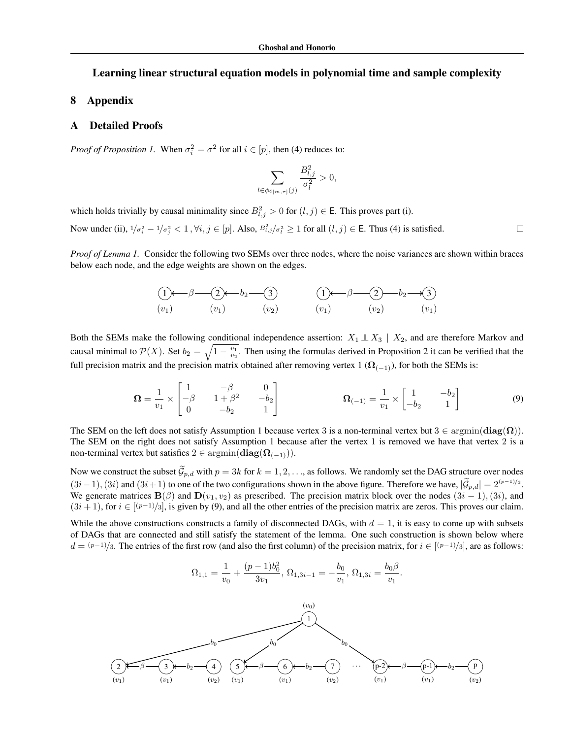# <span id="page-0-12"></span>Learning linear structural equation models in polynomial time and sample complexity

## <span id="page-0-30"></span>8 Appendix

### <span id="page-0-2"></span>A Detailed Proofs

<span id="page-0-22"></span><span id="page-0-16"></span>*Proof of Proposition [1.](#page-0-0)* When  $\sigma_i^2 = \sigma^2$  for all  $i \in [p]$ , then [\(4\)](#page-0-1) reduces to:

<span id="page-0-33"></span><span id="page-0-29"></span><span id="page-0-28"></span><span id="page-0-20"></span><span id="page-0-14"></span><span id="page-0-11"></span><span id="page-0-9"></span><span id="page-0-4"></span>
$$
\sum_{l \in \phi_{\mathsf{G}[m,\tau]}(j)} \frac{B_{l,j}^2}{\sigma_l^2} > 0,
$$

<span id="page-0-21"></span>which holds trivially by causal minimality since  $B_{l,j}^2 > 0$  for  $(l,j) \in \mathsf{E}$ . This proves part (i).

Now under (ii),  $\frac{1}{\sigma_i^2} - \frac{1}{\sigma_j^2} < 1$ ,  $\forall i, j \in [p]$ . Also,  $B_{i,j}^2 / \sigma_i^2 \ge 1$  for all  $(l, j) \in E$ . Thus [\(4\)](#page-0-1) is satisfied.

<span id="page-0-34"></span><span id="page-0-27"></span>*Proof of Lemma [1.](#page-0-2)* Consider the following two SEMs over three nodes, where the noise variances are shown within braces below each node, and the edge weights are shown on the edges.

<span id="page-0-24"></span><span id="page-0-8"></span>
$$
(1) \qquad \qquad \beta \qquad \qquad (2) \qquad b_2 \qquad \qquad (3) \qquad \qquad (1) \qquad \qquad (2) \qquad b_2 \qquad \qquad (3)
$$
  
\n
$$
(v_1) \qquad \qquad (v_1) \qquad \qquad (v_2) \qquad \qquad (v_1) \qquad \qquad (v_2) \qquad \qquad (v_1)
$$

<span id="page-0-35"></span><span id="page-0-25"></span><span id="page-0-19"></span><span id="page-0-3"></span>Both the SEMs make the following conditional independence assertion:  $X_1 \perp X_3$  |  $X_2$ , and are therefore Markov and causal minimal to  $\mathcal{P}(X)$ . Set  $b_2 = \sqrt{1 - \frac{v_1}{v_2}}$ . Then using the formulas derived in Proposition [2](#page-0-3) it can be verified that the full precision matrix and the precision matrix obtained after removing vertex 1 ( $\Omega_{(-1)}$ ), for both the SEMs is:

<span id="page-0-23"></span><span id="page-0-18"></span>
$$
\Omega = \frac{1}{v_1} \times \begin{bmatrix} 1 & -\beta & 0 \\ -\beta & 1 + \beta^2 & -b_2 \\ 0 & -b_2 & 1 \end{bmatrix} \qquad \qquad \Omega_{(-1)} = \frac{1}{v_1} \times \begin{bmatrix} 1 & -b_2 \\ -b_2 & 1 \end{bmatrix} \tag{9}
$$

<span id="page-0-17"></span><span id="page-0-13"></span><span id="page-0-5"></span><span id="page-0-1"></span> $\Box$ 

<span id="page-0-26"></span>The SEM on the left does not satisfy Assumption [1](#page-0-4) because vertex 3 is a non-terminal vertex but  $3 \in \text{argmin}(\text{diag}(\Omega))$ . The SEM on the right does not satisfy Assumption [1](#page-0-4) because after the vertex 1 is removed we have that vertex 2 is a non-terminal vertex but satisfies  $2 \in \operatorname{argmin}(\operatorname{diag}(\mathbf{\Omega}_{(-1)})).$ 

<span id="page-0-7"></span>Now we construct the subset  $\tilde{\mathcal{G}}_{p,d}$  with  $p=3k$  for  $k=1,2,\ldots$ , as follows. We randomly set the DAG structure over nodes  $(3i-1)$ ,  $(3i)$  and  $(3i+1)$  to one of the two configurations shown in the above figure. Therefore we have,  $|\mathcal{G}_{p,d}| = 2^{(p-1)/3}$ . We generate matrices  $\mathbf{B}(\beta)$  and  $\mathbf{D}(v_1, v_2)$  as prescribed. The precision matrix block over the nodes  $(3i - 1), (3i)$ , and  $(3i + 1)$ , for  $i \in [(p-1)/3]$ , is given by [\(9\)](#page-0-5), and all the other entries of the precision matrix are zeros. This proves our claim.

While the above constructions constructs a family of disconnected DAGs, with  $d = 1$ , it is easy to come up with subsets of DAGs that are connected and still satisfy the statement of the lemma. One such construction is shown below where  $d = (p-1)/3$ . The entries of the first row (and also the first column) of the precision matrix, for  $i \in [(p-1)/3]$ , are as follows:

<span id="page-0-32"></span><span id="page-0-15"></span><span id="page-0-6"></span><span id="page-0-0"></span>
$$
\Omega_{1,1} = \frac{1}{v_0} + \frac{(p-1)b_0^2}{3v_1}, \, \Omega_{1,3i-1} = -\frac{b_0}{v_1}, \, \Omega_{1,3i} = \frac{b_0\beta}{v_1}.
$$

<span id="page-0-31"></span><span id="page-0-10"></span>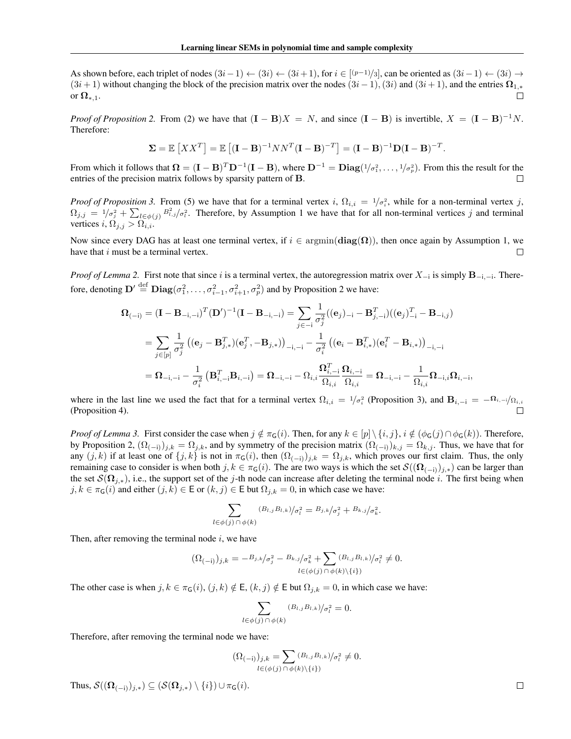As shown before, each triplet of nodes  $(3i-1) \leftarrow (3i) \leftarrow (3i+1)$ , for  $i \in [(p-1)/3]$ , can be oriented as  $(3i-1) \leftarrow (3i) \rightarrow$  $(3i + 1)$  without changing the block of the precision matrix over the nodes  $(3i - 1)$ ,  $(3i)$  and  $(3i + 1)$ , and the entries  $\Omega_{1,*}$  or  $\Omega_{\pm 1}$ . or  $\Omega_{*,1}$ .

*Proof of Proposition* [2.](#page-0-3) From [\(2\)](#page-0-6) we have that  $(I - B)X = N$ , and since  $(I - B)$  is invertible,  $X = (I - B)^{-1}N$ . Therefore:

$$
\Sigma = \mathbb{E}\left[XX^T\right] = \mathbb{E}\left[ (\mathbf{I} - \mathbf{B})^{-1}NN^T(\mathbf{I} - \mathbf{B})^{-T} \right] = (\mathbf{I} - \mathbf{B})^{-1}\mathbf{D}(\mathbf{I} - \mathbf{B})^{-T}.
$$

From which it follows that  $\Omega = (\mathbf{I} - \mathbf{B})^T \mathbf{D}^{-1} (\mathbf{I} - \mathbf{B})$ , where  $\mathbf{D}^{-1} = \mathbf{Diag}(1/\sigma_1^2, \dots, 1/\sigma_p^2)$ . From this the result for the entries of the precision matrix follows by sparsity pattern of B.  $\Box$ 

*Proof of Proposition* [3.](#page-0-7) From [\(5\)](#page-0-8) we have that for a terminal vertex *i*,  $\Omega_{i,i} = 1/\sigma_i^2$ , while for a non-terminal vertex *j*,  $\Omega_{j,j} = 1/\sigma_j^2 + \sum_{l \in \phi(j)} B_{l,j}^2 / \sigma_l^2$  $\Omega_{j,j} = 1/\sigma_j^2 + \sum_{l \in \phi(j)} B_{l,j}^2 / \sigma_l^2$  $\Omega_{j,j} = 1/\sigma_j^2 + \sum_{l \in \phi(j)} B_{l,j}^2 / \sigma_l^2$ . Therefore, by Assumption 1 we have that for all non-terminal vertices *j* and terminal vertices *i*,  $\Omega_{i,j} > \Omega_{i,i}$ .

Now since every DAG has at least one terminal vertex, if  $i \in \text{argmin}(\text{diag}(\Omega))$ , then once again by Assumption [1,](#page-0-4) we have that *i* must be a terminal vertex. have that *i* must be a terminal vertex.

*Proof of Lemma* [2.](#page-0-9) First note that since *i* is a terminal vertex, the autoregression matrix over  $X_{-i}$  is simply  $\mathbf{B}_{-i,-i}$ . Therefore, denoting  $\mathbf{D}' \stackrel{\text{def}}{=} \mathbf{Diag}(\sigma_1^2, \dots, \sigma_{i-1}^2, \sigma_{i+1}^2, \sigma_p^2)$  and by Proposition [2](#page-0-3) we have:

$$
\begin{aligned} \mathbf{\Omega}_{(-\mathrm{i})} &= (\mathbf{I} - \mathbf{B}_{-\mathrm{i},- \mathrm{i}})^T (\mathbf{D}')^{-1} (\mathbf{I} - \mathbf{B}_{-\mathrm{i},- \mathrm{i}}) = \sum_{j \in -\mathrm{i}} \frac{1}{\sigma_j^2} ((\mathbf{e}_j)_{-\mathrm{i}} - \mathbf{B}_{j,- \mathrm{i}}^T) ((\mathbf{e}_j)_{-\mathrm{i}}^T - \mathbf{B}_{-\mathrm{i},j}) \\ &= \sum_{j \in [p]} \frac{1}{\sigma_j^2} ((\mathbf{e}_j - \mathbf{B}_{j,*}^T) (\mathbf{e}_j^T, -\mathbf{B}_{j,*}))_{-\mathrm{i},- \mathrm{i}} - \frac{1}{\sigma_i^2} ((\mathbf{e}_i - \mathbf{B}_{i,*}^T) (\mathbf{e}_i^T - \mathbf{B}_{i,*}))_{-\mathrm{i},- \mathrm{i}} \\ &= \mathbf{\Omega}_{-\mathrm{i},- \mathrm{i}} - \frac{1}{\sigma_i^2} (\mathbf{B}_{i,- \mathrm{i}}^T \mathbf{B}_{i,- \mathrm{i}}) = \mathbf{\Omega}_{-\mathrm{i},- \mathrm{i}} - \Omega_{i,i} \frac{\mathbf{\Omega}_{i,- \mathrm{i}}^T}{\Omega_{i,i}} \frac{\mathbf{\Omega}_{i,- \mathrm{i}}}{\Omega_{i,i}} = \mathbf{\Omega}_{-\mathrm{i},- \mathrm{i}} - \frac{1}{\Omega_{i,i}} \mathbf{\Omega}_{-\mathrm{i},i} \Omega_{i,- \mathrm{i}}, \end{aligned}
$$

where in the last line we used the fact that for a terminal vertex  $\Omega_{i,i} = 1/\sigma_i^2$  (Proposition [3\)](#page-0-7), and  $B_{i,-i} = -\Omega_{i,-i}/\Omega_{i,i}$ (Proposition [4\)](#page-0-10). П

*Proof of Lemma* [3.](#page-0-11) First consider the case when  $j \notin \pi_G(i)$ . Then, for any  $k \in [p] \setminus \{i, j\}$ ,  $i \notin (\phi_G(j) \cap \phi_G(k))$ . Therefore, by Proposition [2,](#page-0-3)  $(\Omega_{(-i)})_{j,k} = \Omega_{j,k}$ , and by symmetry of the precision matrix  $(\Omega_{(-i)})_{k,j} = \Omega_{k,j}$ . Thus, we have that for any  $(j, k)$  if at least one of  $\{j, k\}$  is not in  $\pi_G(i)$ , then  $(\Omega_{(-i)})_{j,k} = \Omega_{j,k}$ , which proves our first claim. Thus, the only remaining case to consider is when both  $j, k \in \pi_{\mathsf{G}}(i)$ . The are two ways is which the set  $\mathcal{S}((\Omega_{(-i)})_{i,*})$  can be larger than the set  $\mathcal{S}(\Omega_{i,*})$ , i.e., the support set of the *j*-th node can increase after deleting the terminal node *i*. The first being when  $j, k \in \pi_{\mathsf{G}}(i)$  and either  $(j, k) \in \mathsf{E}$  or  $(k, j) \in \mathsf{E}$  but  $\Omega_{j,k} = 0$ , in which case we have:

$$
\sum_{l \in \phi(j) \cap \phi(k)} (B_{l,j}B_{l,k})/\sigma_l^2 = B_{j,k}/\sigma_j^2 + B_{k,j}/\sigma_k^2.
$$

Then, after removing the terminal node *i*, we have

$$
(\Omega_{(-i)})_{j,k} = -B_{j,k}/\sigma_j^2 - B_{k,j}/\sigma_k^2 + \sum_{l \in (\phi(j) \cap \phi(k) \setminus \{i\})} (B_{l,j}B_{l,k})/\sigma_l^2 \neq 0.
$$

The other case is when  $j, k \in \pi_G(i), (j, k) \notin E$ ,  $(k, j) \notin E$  but  $\Omega_{j,k} = 0$ , in which case we have:

$$
\sum_{l \in \phi(j) \cap \phi(k)} (B_{l,j} B_{l,k}) / \sigma_l^2 = 0.
$$

Therefore, after removing the terminal node we have:

$$
(\Omega_{(-i)})_{j,k} = \sum_{l \in (\phi(j) \cap \phi(k) \setminus \{i\})} (B_{l,j} B_{l,k})_{\sigma_l^2} \neq 0.
$$

Thus,  $\mathcal{S}((\Omega_{(-i)})_{i,*}) \subseteq (\mathcal{S}(\Omega_{i,*}) \setminus \{i\}) \cup \pi_{\mathsf{G}}(i).$ 

 $\Box$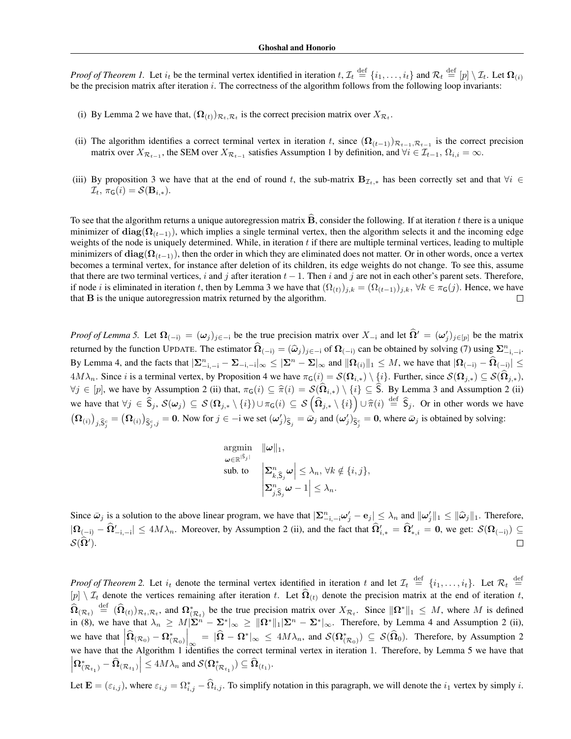*Proof of Theorem [1.](#page-0-12)* Let  $i_t$  be the terminal vertex identified in iteration  $t, \mathcal{I}_t \stackrel{\text{def}}{=} \{i_1, \ldots, i_t\}$  and  $\mathcal{R}_t \stackrel{\text{def}}{=} [p] \setminus \mathcal{I}_t$ . Let  $\Omega_{(i)}$ be the precision matrix after iteration *i*. The correctness of the algorithm follows from the following loop invariants:

- (i) By Lemma [2](#page-0-9) we have that,  $(\Omega_{(t)})_{\mathcal{R}_t, \mathcal{R}_t}$  is the correct precision matrix over  $X_{\mathcal{R}_t}$ .
- (ii) The algorithm identifies a correct terminal vertex in iteration t, since  $(\Omega_{(t-1)})_{\mathcal{R}_{t-1}, \mathcal{R}_{t-1}}$  is the correct precision matrix over  $X_{\mathcal{R}_{t-1}}$ , the SEM over  $X_{\mathcal{R}_{t-1}}$  satisfies Assumption [1](#page-0-4) by definition, and  $\forall i \in \mathcal{I}_{t-1}, \Omega_{i,i} = \infty$ .
- (iii) By proposition [3](#page-0-7) we have that at the end of round t, the sub-matrix  $B_{\mathcal{I}_t,*}$  has been correctly set and that  $\forall i \in$  $\mathcal{I}_t$ ,  $\pi_{\mathsf{G}}(i) = \mathcal{S}(\mathbf{B}_{i,*}).$

To see that the algorithm returns a unique autoregression matrix  $\hat{B}$ , consider the following. If at iteration *t* there is a unique minimizer of  $diag(\Omega_{(t-1)})$ , which implies a single terminal vertex, then the algorithm selects it and the incoming edge weights of the node is uniquely determined. While, in iteration *t* if there are multiple terminal vertices, leading to multiple minimizers of  $diag(\Omega_{(t-1)})$ , then the order in which they are eliminated does not matter. Or in other words, once a vertex becomes a terminal vertex, for instance after deletion of its children, its edge weights do not change. To see this, assume that there are two terminal vertices, *i* and *j* after iteration  $t - 1$ . Then *i* and *j* are not in each other's parent sets. Therefore, if node *i* is eliminated in iteration *t*, then by Lemma [3](#page-0-11) we have that  $(\Omega_{(t)})_{j,k} = (\Omega_{(t-1)})_{j,k}, \forall k \in \pi_G(j)$ . Hence, we have that **B** is the unique autoregression matrix returned by the algorithm. that B is the unique autoregression matrix returned by the algorithm.

*Proof of Lemma* [5.](#page-0-12) Let  $\Omega_{(-i)} = (\omega_j)_{j \in -i}$  be the true precision matrix over  $X_{-i}$  and let  $\Omega' = (\omega'_j)_{j \in [p]}$  be the matrix returned by the function UPDATE. The estimator  $\hat{\Omega}_{(-i)} = (\hat{\omega}_j)_{j \in -i}$  of  $\Omega_{(-i)}$  can be obtained by solving [\(7\)](#page-0-13) using  $\Sigma_{-i, -i}^n$ . By Lemma [4,](#page-0-14) and the facts that  $|\mathbf{\Sigma}_{-i,-i}^n - \mathbf{\Sigma}_{-i,-i}|_{\infty} \leq |\mathbf{\Sigma}^n - \mathbf{\Sigma}|_{\infty}$  and  $\|\mathbf{\Omega}_{(i)}\|_1 \leq M$ , we have that  $|\mathbf{\Omega}_{(-i)} - \widehat{\mathbf{\Omega}}_{(-i)}| \leq$  $4M\lambda_n$ . Since *i* is a terminal vertex, by Proposition [4](#page-0-10) we have  $\pi_G(i) = \mathcal{S}(\Omega_{i,*}) \setminus \{i\}$ . Further, since  $\mathcal{S}(\Omega_{j,*}) \subseteq \mathcal{S}(\Omega_{j,*})$ ,  $\forall j \in [p]$ , we have by Assumption [2](#page-0-15) (ii) that,  $\pi_G(i) \subseteq \hat{\pi}(i) = \mathcal{S}(\hat{\Omega}_{i,*}) \setminus \{i\} \subseteq \hat{S}$ . By Lemma [3](#page-0-11) and Assumption 2 (ii) we have that  $\forall j \in \hat{S}_j$ ,  $\mathcal{S}(\omega_j) \subseteq \mathcal{S}(\Omega_{j,*} \setminus \{i\}) \cup \pi_{\mathsf{G}}(i) \subseteq \mathcal{S}(\hat{\Omega}_{j,*} \setminus \{i\}) \cup \hat{\pi}(i) \stackrel{\text{def}}{=} \hat{S}_j$ . Or in other words we have  $(\Omega_{(i)})_{j,\hat{S}_j^c} = (\Omega_{(i)})_{\hat{S}_j^c,j} = 0$ . Now for  $j \in -i$  we set  $(\omega'_j)_{\hat{S}_j} = \bar{\omega}_j$  and  $(\omega'_j)_{\hat{S}_j^c} = 0$ , where  $\bar{\omega}_j$  is obtained by solving:

$$
\begin{array}{ll}\n\text{argmin} & \|\omega\|_1, \\
\omega \in \mathbb{R}^{|\hat{S}_j|} & \text{sub. to} \\
\mathbf{\Sigma}_{k,\hat{S}_j}^n \omega \mid \leq \lambda_n, \,\forall k \notin \{i, j\}, \\
\sum_{j,\hat{S}_j}^n \omega - 1 \mid \leq \lambda_n.\n\end{array}
$$

Since  $\bar{\omega}_j$  is a solution to the above linear program, we have that  $|\Sigma_{-i,-i}^n \omega_j' - e_j| \leq \lambda_n$  and  $\|\omega_j'\|_1 \leq \|\hat{\omega}_j\|_1$ . Therefore,  $|\Omega_{(-i)} - \Omega'_{-i,-i}| \le 4M\lambda_n$ . Moreover, by Assumption [2](#page-0-15) (ii), and the fact that  $\Omega'_{i,*} = \Omega'_{*,i} = 0$ , we get:  $\mathcal{S}(\Omega_{(-i)}) \subseteq$  $\mathcal{S}(\mathbf{\Omega}').$ 

*Proof of Theorem* [2.](#page-0-16) Let  $i_t$  denote the terminal vertex identified in iteration *t* and let  $\mathcal{I}_t \stackrel{\text{def}}{=} \{i_1, \ldots, i_t\}$ . Let  $\mathcal{R}_t \stackrel{\text{def}}{=}$  $[p] \setminus I_t$  denote the vertices remaining after iteration *t*. Let  $\widehat{\Omega}_{(t)}$  denote the precision matrix at the end of iteration *t*,  $\hat{\Omega}_{(R_t)} \stackrel{\text{def}}{=} (\hat{\Omega}_{(t)})_{R_t, R_t}$ , and  $\Omega_{(R_t)}^*$  be the true precision matrix over  $X_{R_t}$ . Since  $\|\Omega^*\|_1 \leq M$ , where M is defined in [\(8\)](#page-0-17), we have that  $\lambda_n \geq M|\Sigma^n - \Sigma^*|_{\infty} \geq ||\Omega^*||_1 |\Sigma^n - \Sigma^*|_{\infty}$ . Therefore, by Lemma [4](#page-0-14) and Assumption [2](#page-0-15) (ii), we have that  $\left| \widehat{\Omega}_{(\mathcal{R}_0)} - \Omega_{(\mathcal{R}_0)}^* \right|$  $\int_{\infty}$  =  $|\hat{\Omega} - \Omega^*|_{\infty} \le 4M\lambda_n$ , and  $\mathcal{S}(\Omega^*_{(\mathcal{R}_0)}) \subseteq \mathcal{S}(\hat{\Omega}_0)$ . Therefore, by Assumption [2](#page-0-15) we have that the Algorithm [1](#page-0-18) identifies the correct terminal vertex in iteration 1. Therefore, by Lemma [5](#page-0-12) we have that  $\left|\Omega^*_{(\mathcal{R}_{t_1})}-\widehat{\Omega}_{(\mathcal{R}_{t_1})}\right| \leq 4M\lambda_n$  and  $\mathcal{S}(\Omega^*_{(\mathcal{R}_{t_1})}) \subseteq \widehat{\Omega}_{(t_1)}$ .

Let  $\mathbf{E} = (\varepsilon_{i,j})$ , where  $\varepsilon_{i,j} = \Omega_{i,j}^* - \Omega_{i,j}$ . To simplify notation in this paragraph, we will denote the  $i_1$  vertex by simply *i*.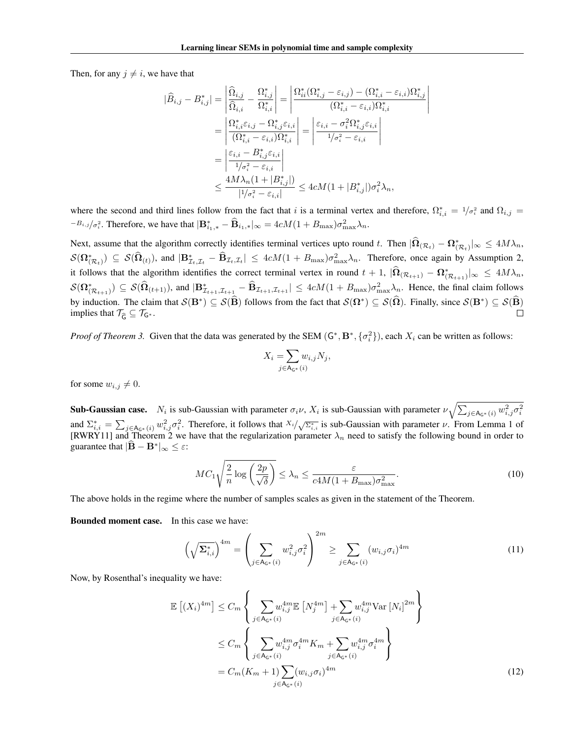$\begin{array}{c} \hline \end{array}$  $\overline{\phantom{a}}$  $\overline{\phantom{a}}$  $\downarrow$  $\mathfrak{f}$ 

Then, for any  $i \neq i$ , we have that

$$
\begin{split} |\widehat{B}_{i,j}-B^*_{i,j}|=&\left|\frac{\widehat{\Omega}_{i,j}}{\widehat{\Omega}_{i,i}}-\frac{\Omega^*_{i,j}}{\Omega^*_{i,i}}\right|=\left|\frac{\Omega^*_{ii}(\Omega^*_{i,j}-\varepsilon_{i,j})-(\Omega^*_{i,i}-\varepsilon_{i,i})\Omega^*_{i,j}}{(\Omega^*_{i,i}-\varepsilon_{i,i})\Omega^*_{i,i}}\right|\\ =&\left|\frac{\Omega^*_{i,i}\varepsilon_{i,j}-\Omega^*_{i,j}\varepsilon_{i,i}}{(\Omega^*_{i,i}-\varepsilon_{i,i})\Omega^*_{i,i}}\right|=\left|\frac{\varepsilon_{i,i}-\sigma^2_i\Omega^*_{i,j}\varepsilon_{i,i}}{1/\sigma^2_i-\varepsilon_{i,i}}\right|\\ =&\left|\frac{\varepsilon_{i,i}-B^*_{i,j}\varepsilon_{i,i}}{1/\sigma^2_i-\varepsilon_{i,i}}\right|\\ \leq&\frac{4M\lambda_n(1+|B^*_{i,j}|)}{1/\sigma^2_i-\varepsilon_{i,i}|}\leq4cM(1+|B^*_{i,j}|)\sigma^2_i\lambda_n, \end{split}
$$

where the second and third lines follow from the fact that *i* is a terminal vertex and therefore,  $\Omega_{i,i}^* = 1/\sigma_i^2$  and  $\Omega_{i,j} =$  $B_{i,j}/\sigma_i^2$ . Therefore, we have that  $|\mathbf{B}_{i,j,*}^* - \mathbf{B}_{i,j,*}|_{\infty} = 4cM(1 + B_{\text{max}})\sigma_{\text{max}}^2\lambda_n$ .

Next, assume that the algorithm correctly identifies terminal vertices upto round t. Then  $|\mathbf{\Omega}_{(\mathcal{R}_t)} - \mathbf{\Omega}_{(\mathcal{R}_t)}^*|_{\infty} \le 4M\lambda_n$ ,  $\mathcal{S}(\Omega^*_{(\mathcal{R}_t)}) \subseteq \mathcal{S}(\hat{\Omega}_{(t)})$ , and  $|\mathbf{B}_{\mathcal{I}_t,\mathcal{I}_t}^* - \hat{\mathbf{B}}_{\mathcal{I}_t,\mathcal{I}_t}| \leq 4cM(1 + B_{\text{max}})\sigma_{\text{max}}^2\lambda_n$ . Therefore, once again by Assumption [2,](#page-0-15) it follows that the algorithm identifies the correct terminal vertex in round  $t + 1$ ,  $|\mathbf{\Omega}_{(\mathcal{R}_{t+1})} - \mathbf{\Omega}_{(\mathcal{R}_{t+1})}^*|_{\infty} \le 4M\lambda_n$ ,  $\mathcal{S}(\Omega^*_{(\mathcal{R}_{t+1})}) \subseteq \mathcal{S}(\hat{\Omega}_{(t+1)})$ , and  $|\mathbf{B}_{\mathcal{I}_{t+1},\mathcal{I}_{t+1}}^* - \hat{\mathbf{B}}_{\mathcal{I}_{t+1},\mathcal{I}_{t+1}}| \leq 4cM(1 + B_{\max})\sigma_{\max}^2\lambda_n$ . Hence, the final claim follows by induction. The claim that  $S(\mathbf{B}^*) \subseteq S(\widehat{\mathbf{B}})$  follows from the fact that  $S(\mathbf{\Omega}^*) \subseteq S(\widehat{\mathbf{\Omega}})$ . Finally, since  $S(\mathbf{B}^*) \subseteq S(\widehat{\mathbf{B}})$ <br>implies that  $\mathcal{T}_{\widehat{\epsilon}} \subseteq \mathcal{T}_{G^*}$ . implies that  $\mathcal{T}_{\widehat{G}} \subseteq \mathcal{T}_{G^*}$ .

*Proof of Theorem* [3.](#page-0-19) Given that the data was generated by the SEM  $(G^*, B^*, \{\sigma_i^2\})$ , each  $X_i$  can be written as follows:

<span id="page-3-0"></span>
$$
X_i = \sum_{j \in \mathsf{A}_{\mathsf{G}^*}(i)} w_{i,j} N_j,
$$

for some  $w_{i,j} \neq 0$ .

**Sub-Gaussian case.**  $N_i$  is sub-Gaussian with parameter  $\sigma_i \nu$ ,  $X_i$  is sub-Gaussian with parameter  $\nu \sqrt{\sum_{j \in A_{\mathsf{G^*}}(i)} w_{i,j}^2 \sigma_i^2}$ and  $\Sigma_{i,i}^* = \sum_{j \in A_{G^*}(i)} w_{i,j}^2 \sigma_i^2$ . Therefore, it follows that  $X_i / \sqrt{\Sigma_{i,i}^*}$  is sub-Gaussian with parameter  $\nu$ . From Lemma 1 of [\[RWRY11\]](#page-0-12) and Theorem [2](#page-0-16) we have that the regularization parameter  $\lambda_n$  need to satisfy the following bound in order to guarantee that  $|\mathbf{\hat{B}} - \mathbf{B}^*|_{\infty} \leq \varepsilon$ .

$$
MC_1\sqrt{\frac{2}{n}\log\left(\frac{2p}{\sqrt{\delta}}\right)} \le \lambda_n \le \frac{\varepsilon}{c4M(1+B_{\max})\sigma_{\max}^2}.
$$
\n(10)

The above holds in the regime where the number of samples scales as given in the statement of the Theorem.

Bounded moment case. In this case we have:

$$
\left(\sqrt{\Sigma_{i,i}^*}\right)^{4m} = \left(\sum_{j \in \mathsf{A}_{\mathsf{G}^*}(i)} w_{i,j}^2 \sigma_i^2\right)^{2m} \ge \sum_{j \in \mathsf{A}_{\mathsf{G}^*}(i)} (w_{i,j} \sigma_i)^{4m} \tag{11}
$$

Now, by Rosenthal's inequality we have:

<span id="page-3-1"></span>
$$
\mathbb{E}\left[(X_i)^{4m}\right] \leq C_m \left\{ \sum_{j \in A_{\mathsf{G}^*}(i)} w_{i,j}^{4m} \mathbb{E}\left[N_j^{4m}\right] + \sum_{j \in A_{\mathsf{G}^*}(i)} w_{i,j}^{4m} \text{Var}\left[N_i\right]^{2m} \right\} \n\leq C_m \left\{ \sum_{j \in A_{\mathsf{G}^*}(i)} w_{i,j}^{4m} \sigma_i^{4m} K_m + \sum_{j \in A_{\mathsf{G}^*}(i)} w_{i,j}^{4m} \sigma_i^{4m} \right\} \n= C_m (K_m + 1) \sum_{j \in A_{\mathsf{G}^*}(i)} (w_{i,j} \sigma_i)^{4m}
$$
\n(12)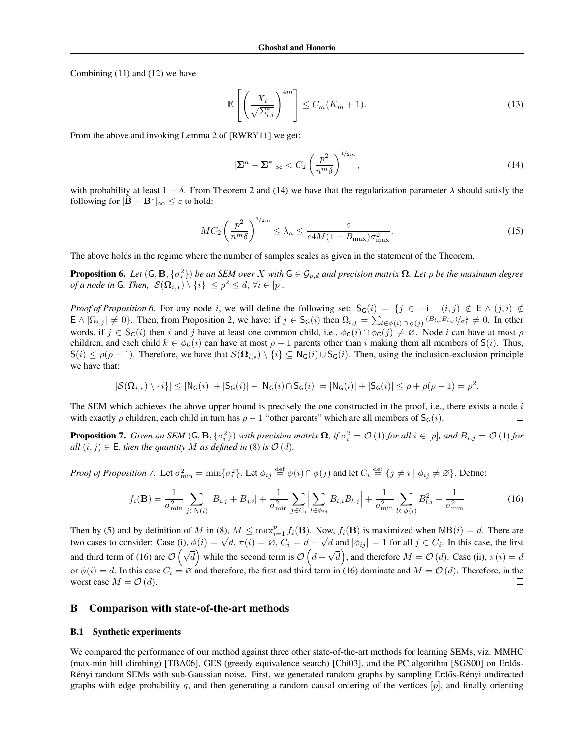Combining [\(11\)](#page-3-0) and [\(12\)](#page-3-1) we have

$$
\mathbb{E}\left[\left(\frac{X_i}{\sqrt{\Sigma_{i,i}^*}}\right)^{4m}\right] \le C_m(K_m+1). \tag{13}
$$

From the above and invoking Lemma 2 of [\[RWRY11\]](#page-0-12) we get:

<span id="page-4-0"></span>
$$
|\Sigma^n - \Sigma^*|_{\infty} < C_2 \left(\frac{p^2}{n^m \delta}\right)^{1/2m},\tag{14}
$$

with probability at least  $1 - \delta$ . From Theorem [2](#page-0-16) and [\(14\)](#page-4-0) we have that the regularization parameter  $\lambda$  should satisfy the following for  $|\mathbf{B} - \mathbf{B}^*|_{\infty} \leq \varepsilon$  to hold:

$$
MC_2 \left(\frac{p^2}{n^m \delta}\right)^{1/2m} \le \lambda_n \le \frac{\varepsilon}{c4M(1 + B_{\text{max}})\sigma_{\text{max}}^2}.
$$
 (15)

The above holds in the regime where the number of samples scales as given in the statement of the Theorem.  $\Box$ 

<span id="page-4-1"></span>**Proposition 6.** Let  $(G, B, \{\sigma_i^2\})$  be an SEM over X with  $G \in \mathcal{G}_{p,d}$  and precision matrix  $\Omega$ . Let  $\rho$  be the maximum degree *of a node in* G. Then,  $|S(\Omega_{i,*}) \setminus \{i\}| \leq \rho^2 \leq d, \forall i \in [p].$ 

*Proof of Proposition* [6.](#page-4-1) For any node *i*, we will define the following set:  $S_G(i) = \{j \in -i \mid (i,j) \notin E \wedge (j,i) \notin E$  $\mathsf{E} \wedge |\Omega_{i,j}| \neq 0$ . Then, from Proposition [2,](#page-0-3) we have: if  $j \in \mathsf{S}_{\mathsf{G}}(i)$  then  $\Omega_{i,j} = \sum_{l \in \phi(i) \cap \phi(j)} \frac{|B_{l,i}B_{l,j}|}{|B_{l,i}B_{l,j}|}$ words, if  $j \in S_G(i)$  then *i* and *j* have at least one common child, i.e.,  $\phi_G(i) \cap \phi_G(j) \neq \emptyset$ . Node *i* can have at most  $\rho$ children, and each child  $k \in \phi_G(i)$  can have at most  $\rho - 1$  parents other than *i* making them all members of  $S(i)$ . Thus,  $S(i) \leq \rho(\rho - 1)$ . Therefore, we have that  $S(\Omega_{i,*}) \setminus \{i\} \subseteq N_G(i) \cup S_G(i)$ . Then, using the inclusion-exclusion principle we have that:

$$
|\mathcal{S}(\Omega_{i,*})\setminus\{i\}|\leq |\mathrm{N}_\mathsf{G}(i)|+|\mathrm{S}_\mathsf{G}(i)|-|\mathrm{N}_\mathsf{G}(i)\cap \mathrm{S}_\mathsf{G}(i)|=|\mathrm{N}_\mathsf{G}(i)|+|\mathrm{S}_\mathsf{G}(i)|\leq \rho+\rho(\rho-1)=\rho^2.
$$

The SEM which achieves the above upper bound is precisely the one constructed in the proof, i.e., there exists a node *i* with exactly  $\rho$  children, each child in turn has  $\rho - 1$  "other parents" which are all members of  $S_G(i)$ .  $\Box$ 

<span id="page-4-2"></span>**Proposition 7.** Given an SEM  $(G, B, \{\sigma_i^2\})$  with precision matrix  $\Omega$ , if  $\sigma_i^2 = O(1)$  for all  $i \in [p]$ , and  $B_{i,j} = O(1)$  for  $all (i, j) \in E$ , then the quantity *M* as defined in [\(8\)](#page-0-17) is  $O(d)$ .

*Proof of Proposition 7.* Let 
$$
\sigma_{\min}^2 = \min{\{\sigma_i^2\}}
$$
. Let  $\phi_{ij} \stackrel{\text{def}}{=} \phi(i) \cap \phi(j)$  and let  $C_i \stackrel{\text{def}}{=} \{j \neq i \mid \phi_{ij} \neq \emptyset\}$ . Define:

<span id="page-4-3"></span>
$$
f_i(\mathbf{B}) = \frac{1}{\sigma_{\min}^2} \sum_{j \in \mathbf{N}(i)} |B_{i,j} + B_{j,i}| + \frac{1}{\sigma_{\min}^2} \sum_{j \in C_i} \left| \sum_{l \in \phi_{ij}} B_{l,i} B_{l,j} \right| + \frac{1}{\sigma_{\min}^2} \sum_{l \in \phi(i)} B_{l,i}^2 + \frac{1}{\sigma_{\min}^2}
$$
(16)

Then by [\(5\)](#page-0-8) and by definition of *M* in [\(8\)](#page-0-17),  $M \le \max_{i=1}^p f_i(\mathbf{B})$ . Now,  $f_i(\mathbf{B})$  is maximized when  $MB(i) = d$ . There are two cases to consider: Case (i),  $\phi(i) = \sqrt{d}$ ,  $\pi(i) = \emptyset$ ,  $C_i = d - \sqrt{d}$  and  $|\phi_{ij}| = 1$  for all  $j \in C_i$ . In this case, the first and third term of [\(16\)](#page-4-3) are  $\mathcal{O}(\sqrt{d})$  while the second term is  $\mathcal{O}(d-\sqrt{d})$ , and therefore  $M=\mathcal{O}(d)$ . Case (ii),  $\pi(i)=d$ or  $\phi(i) = d$ . In this case  $C_i = \emptyset$  and therefore, the first and third term in [\(16\)](#page-4-3) dominate and  $M = \mathcal{O}(d)$ . Therefore, in the worst case  $M = \mathcal{O}(d)$ . worst case  $M = \mathcal{O}(d)$ .

### B Comparison with state-of-the-art methods

#### B.1 Synthetic experiments

We compared the performance of our method against three other state-of-the-art methods for learning SEMs, viz. MMHC (max-min hill climbing) [\[TBA06\]](#page-0-20), GES (greedy equivalence search) [\[Chi03\]](#page-0-21), and the PC algorithm [\[SGS00\]](#page-0-22) on Erdős-Rényi random SEMs with sub-Gaussian noise. First, we generated random graphs by sampling Erdős-Rényi undirected graphs with edge probability  $q$ , and then generating a random causal ordering of the vertices  $[p]$ , and finally orienting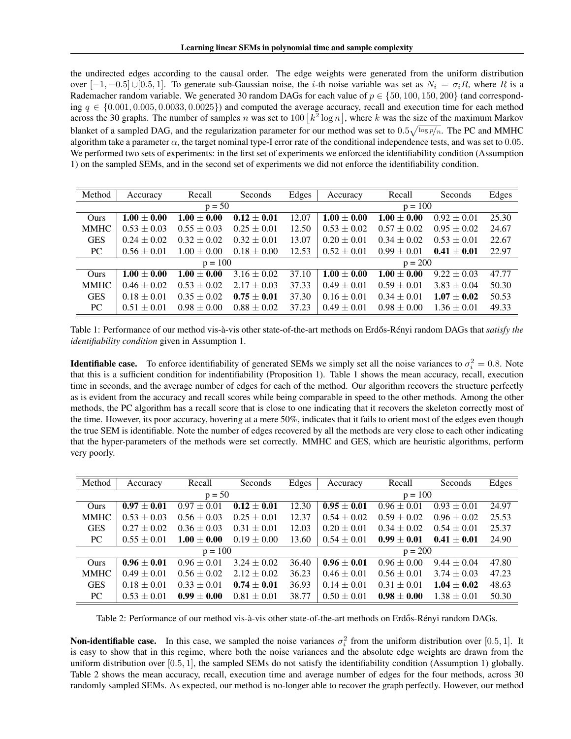the undirected edges according to the causal order. The edge weights were generated from the uniform distribution over  $[-1, -0.5] \cup [0.5, 1]$ . To generate sub-Gaussian noise, the *i*-th noise variable was set as  $N_i = \sigma_i R$ , where R is a Rademacher random variable. We generated 30 random DAGs for each value of  $p \in \{50, 100, 150, 200\}$  (and corresponding  $q \in \{0.001, 0.005, 0.0033, 0.0025\}$  and computed the average accuracy, recall and execution time for each method across the 30 graphs. The number of samples *n* was set to  $100 |k^2 \log n|$ , where *k* was the size of the maximum Markov blanket of a sampled DAG, and the regularization parameter for our method was set to  $0.5\sqrt{\log p/n}$ . The PC and MMHC algorithm take a parameter  $\alpha$ , the target nominal type-I error rate of the conditional independence tests, and was set to 0.05. We performed two sets of experiments: in the first set of experiments we enforced the identifiability condition (Assumption [1\)](#page-0-4) on the sampled SEMs, and in the second set of experiments we did not enforce the identifiability condition.

| Method      | Accuracy        | Recall          | Seconds         | Edges | Accuracy        | Recall          | Seconds         | Edges |  |
|-------------|-----------------|-----------------|-----------------|-------|-----------------|-----------------|-----------------|-------|--|
|             | $p = 50$        |                 |                 |       | $p = 100$       |                 |                 |       |  |
| Ours        | $1.00 \pm 0.00$ | $1.00 \pm 0.00$ | $0.12 \pm 0.01$ | 12.07 | $1.00 \pm 0.00$ | $1.00 \pm 0.00$ | $0.92 \pm 0.01$ | 25.30 |  |
| <b>MMHC</b> | $0.53 \pm 0.03$ | $0.55 \pm 0.03$ | $0.25 \pm 0.01$ | 12.50 | $0.53 \pm 0.02$ | $0.57 \pm 0.02$ | $0.95 \pm 0.02$ | 24.67 |  |
| <b>GES</b>  | $0.24 \pm 0.02$ | $0.32 \pm 0.02$ | $0.32 \pm 0.01$ | 13.07 | $0.20 \pm 0.01$ | $0.34 \pm 0.02$ | $0.53 \pm 0.01$ | 22.67 |  |
| <b>PC</b>   | $0.56 \pm 0.01$ | $1.00 \pm 0.00$ | $0.18 \pm 0.00$ | 12.53 | $0.52 \pm 0.01$ | $0.99 \pm 0.01$ | $0.41 \pm 0.01$ | 22.97 |  |
|             | $p = 100$       |                 |                 |       | $p = 200$       |                 |                 |       |  |
| Ours        | $1.00 \pm 0.00$ | $1.00 \pm 0.00$ | $3.16 \pm 0.02$ | 37.10 | $1.00 \pm 0.00$ | $1.00 \pm 0.00$ | $9.22 \pm 0.03$ | 47.77 |  |
| <b>MMHC</b> | $0.46 \pm 0.02$ | $0.53 \pm 0.02$ | $2.17 \pm 0.03$ | 37.33 | $0.49 \pm 0.01$ | $0.59 \pm 0.01$ | $3.83 \pm 0.04$ | 50.30 |  |
| <b>GES</b>  | $0.18 \pm 0.01$ | $0.35 \pm 0.02$ | $0.75 + 0.01$   | 37.30 | $0.16 \pm 0.01$ | $0.34 \pm 0.01$ | $1.07 \pm 0.02$ | 50.53 |  |
| PC          | $0.51 \pm 0.01$ | $0.98 \pm 0.00$ | $0.88 \pm 0.02$ | 37.23 | $0.49 \pm 0.01$ | $0.98 \pm 0.00$ | $1.36 \pm 0.01$ | 49.33 |  |

<span id="page-5-0"></span>Table 1: Performance of our method vis-à-vis other state-of-the-art methods on Erdős-Rényi random DAGs that *satisfy the identifiability condition* given in Assumption [1.](#page-0-4)

**Identifiable case.** To enforce identifiability of generated SEMs we simply set all the noise variances to  $\sigma_i^2 = 0.8$ . Note that this is a sufficient condition for indentifiability (Proposition [1\)](#page-0-0). Table [1](#page-5-0) shows the mean accuracy, recall, execution time in seconds, and the average number of edges for each of the method. Our algorithm recovers the structure perfectly as is evident from the accuracy and recall scores while being comparable in speed to the other methods. Among the other methods, the PC algorithm has a recall score that is close to one indicating that it recovers the skeleton correctly most of the time. However, its poor accuracy, hovering at a mere 50%, indicates that it fails to orient most of the edges even though the true SEM is identifiable. Note the number of edges recovered by all the methods are very close to each other indicating that the hyper-parameters of the methods were set correctly. MMHC and GES, which are heuristic algorithms, perform very poorly.

| Method      | Accuracy        | Recall          | Seconds         | Edges     | Accuracy        | Recall          | Seconds         | Edges |
|-------------|-----------------|-----------------|-----------------|-----------|-----------------|-----------------|-----------------|-------|
|             | $p = 50$        |                 |                 |           | $p = 100$       |                 |                 |       |
| Ours        | $0.97 \pm 0.01$ | $0.97 \pm 0.01$ | $0.12 \pm 0.01$ | 12.30     | $0.95 \pm 0.01$ | $0.96 \pm 0.01$ | $0.93 \pm 0.01$ | 24.97 |
| <b>MMHC</b> | $0.53 \pm 0.03$ | $0.56 \pm 0.03$ | $0.25 \pm 0.01$ | 12.37     | $0.54 \pm 0.02$ | $0.59 \pm 0.02$ | $0.96 \pm 0.02$ | 25.53 |
| <b>GES</b>  | $0.27 \pm 0.02$ | $0.36 \pm 0.03$ | $0.31 \pm 0.01$ | 12.03     | $0.20 \pm 0.01$ | $0.34 \pm 0.02$ | $0.54 \pm 0.01$ | 25.37 |
| <b>PC</b>   | $0.55 \pm 0.01$ | $1.00 \pm 0.00$ | $0.19 \pm 0.00$ | 13.60     | $0.54 \pm 0.01$ | $0.99 \pm 0.01$ | $0.41 \pm 0.01$ | 24.90 |
| $p = 100$   |                 |                 |                 | $p = 200$ |                 |                 |                 |       |
| Ours        | $0.96 \pm 0.01$ | $0.96 \pm 0.01$ | $3.24 \pm 0.02$ | 36.40     | $0.96 \pm 0.01$ | $0.96 \pm 0.00$ | $9.44 \pm 0.04$ | 47.80 |
| <b>MMHC</b> | $0.49 \pm 0.01$ | $0.56 \pm 0.02$ | $2.12 \pm 0.02$ | 36.23     | $0.46 \pm 0.01$ | $0.56 \pm 0.01$ | $3.74 \pm 0.03$ | 47.23 |
| <b>GES</b>  | $0.18 \pm 0.01$ | $0.33 + 0.01$   | $0.74 \pm 0.01$ | 36.93     | $0.14 \pm 0.01$ | $0.31 \pm 0.01$ | $1.04 \pm 0.02$ | 48.63 |
| PC          | $0.53 \pm 0.01$ | $0.99 \pm 0.00$ | $0.81 \pm 0.01$ | 38.77     | $0.50 \pm 0.01$ | $0.98 \pm 0.00$ | $1.38 \pm 0.01$ | 50.30 |

<span id="page-5-1"></span>Table 2: Performance of our method vis-à-vis other state-of-the-art methods on Erdős-Rényi random DAGs.

Non-identifiable case. In this case, we sampled the noise variances  $\sigma_i^2$  from the uniform distribution over [0.5, 1]. It is easy to show that in this regime, where both the noise variances and the absolute edge weights are drawn from the uniform distribution over [0*.*5*,* 1], the sampled SEMs do not satisfy the identifiability condition (Assumption [1\)](#page-0-4) globally. Table [2](#page-5-1) shows the mean accuracy, recall, execution time and average number of edges for the four methods, across 30 randomly sampled SEMs. As expected, our method is no-longer able to recover the graph perfectly. However, our method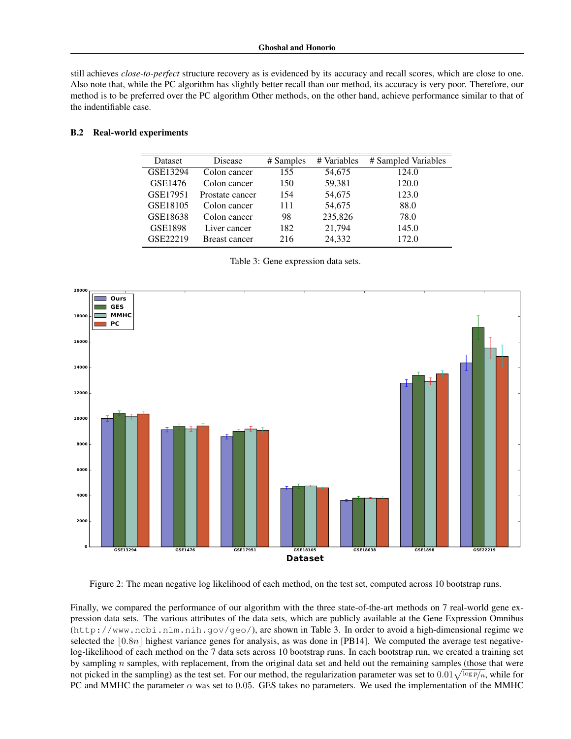still achieves *close-to-perfect* structure recovery as is evidenced by its accuracy and recall scores, which are close to one. Also note that, while the PC algorithm has slightly better recall than our method, its accuracy is very poor. Therefore, our method is to be preferred over the PC algorithm Other methods, on the other hand, achieve performance similar to that of the indentifiable case.

### B.2 Real-world experiments

| Dataset  | Disease              | # Samples | # Variables | # Sampled Variables |
|----------|----------------------|-----------|-------------|---------------------|
| GSE13294 | Colon cancer         | 155       | 54,675      | 124.0               |
| GSE1476  | Colon cancer         | 150       | 59,381      | 120.0               |
| GSE17951 | Prostate cancer      | 154       | 54,675      | 123.0               |
| GSE18105 | Colon cancer         | 111       | 54,675      | 88.0                |
| GSE18638 | Colon cancer         | 98        | 235,826     | 78.0                |
| GSE1898  | Liver cancer         | 182       | 21,794      | 145.0               |
| GSE22219 | <b>Breast cancer</b> | 216       | 24,332      | 172.0               |

<span id="page-6-0"></span>Table 3: Gene expression data sets.



<span id="page-6-1"></span>Figure 2: The mean negative log likelihood of each method, on the test set, computed across 10 bootstrap runs.

Finally, we compared the performance of our algorithm with the three state-of-the-art methods on 7 real-world gene expression data sets. The various attributes of the data sets, which are publicly available at the Gene Expression Omnibus (<http://www.ncbi.nlm.nih.gov/geo/>), are shown in Table [3.](#page-6-0) In order to avoid a high-dimensional regime we selected the  $\lfloor 0.8n \rfloor$  highest variance genes for analysis, as was done in [\[PB14\]](#page-0-23). We computed the average test negativelog-likelihood of each method on the 7 data sets across 10 bootstrap runs. In each bootstrap run, we created a training set by sampling *n* samples, with replacement, from the original data set and held out the remaining samples (those that were not picked in the sampling) as the test set. For our method, the regularization parameter was set to  $0.01\sqrt{\log p}/n$ , while for PC and MMHC the parameter  $\alpha$  was set to 0.05. GES takes no parameters. We used the implementation of the MMHC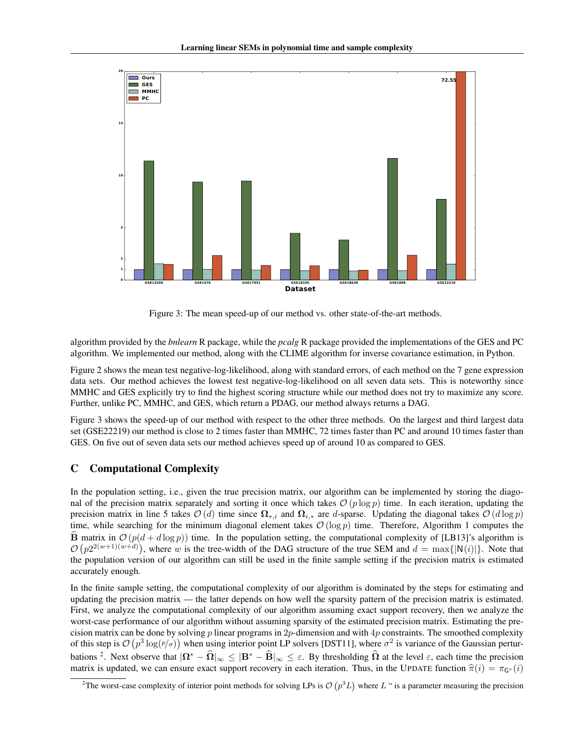

<span id="page-7-0"></span>Figure 3: The mean speed-up of our method vs. other state-of-the-art methods.

algorithm provided by the *bnlearn* R package, while the *pcalg* R package provided the implementations of the GES and PC algorithm. We implemented our method, along with the CLIME algorithm for inverse covariance estimation, in Python.

Figure [2](#page-6-1) shows the mean test negative-log-likelihood, along with standard errors, of each method on the 7 gene expression data sets. Our method achieves the lowest test negative-log-likelihood on all seven data sets. This is noteworthy since MMHC and GES explicitly try to find the highest scoring structure while our method does not try to maximize any score. Further, unlike PC, MMHC, and GES, which return a PDAG, our method always returns a DAG.

Figure [3](#page-7-0) shows the speed-up of our method with respect to the other three methods. On the largest and third largest data set (GSE22219) our method is close to 2 times faster than MMHC, 72 times faster than PC and around 10 times faster than GES. On five out of seven data sets our method achieves speed up of around 10 as compared to GES.

# C Computational Complexity

In the population setting, i.e., given the true precision matrix, our algorithm can be implemented by storing the diagonal of the precision matrix separately and sorting it once which takes  $O(p \log p)$  time. In each iteration, updating the precision matrix in line [5](#page-0-18) takes  $O(d)$  time since  $\Omega_{*,i}$  and  $\Omega_{i,*}$  are *d*-sparse. Updating the diagonal takes  $O(d \log p)$ time, while searching for the minimum diagonal element takes  $O(\log p)$  time. Therefore, Algorithm [1](#page-0-18) computes the  $\hat{\mathbf{B}}$  matrix in  $\mathcal{O}(p(d+d\log p))$  time. In the population setting, the computational complexity of [\[LB13\]](#page-0-24)'s algorithm is  $\mathcal{O}(p2^{2(w+1)(w+d)})$ , where *w* is the tree-width of the DAG structure of the true SEM and  $d = \max\{|N(i)|\}$ . Note that the population version of our algorithm can still be used in the finite sample setting if the precision matrix is estimated accurately enough.

In the finite sample setting, the computational complexity of our algorithm is dominated by the steps for estimating and updating the precision matrix — the latter depends on how well the sparsity pattern of the precision matrix is estimated. First, we analyze the computational complexity of our algorithm assuming exact support recovery, then we analyze the worst-case performance of our algorithm without assuming sparsity of the estimated precision matrix. Estimating the precision matrix can be done by solving *p* linear programs in 2*p*-dimension and with 4*p* constraints. The smoothed complexity of this step is  $\mathcal{O}(p^3 \log(p/\sigma))$  when using interior point LP solvers [\[DST11\]](#page-0-25), where  $\sigma^2$  is variance of the Gaussian perturbations <sup>2</sup>. Next observe that  $|\Omega^* - \widehat{\Omega}|_{\infty} \leq |B^* - \widehat{B}|_{\infty} \leq \varepsilon$ . By thresholding  $\widehat{\Omega}$  at the level  $\varepsilon$ , each time the precision matrix is updated, we can ensure exact support recovery in each iteration. Thus, in the UPDATE function  $\hat{\pi}(i) = \pi_{G^*}(i)$ 

<span id="page-7-1"></span><sup>&</sup>lt;sup>2</sup>The worst-case complexity of interior point methods for solving LPs is  $\mathcal{O}(p^3L)$  where  $L$  " is a parameter measuring the precision